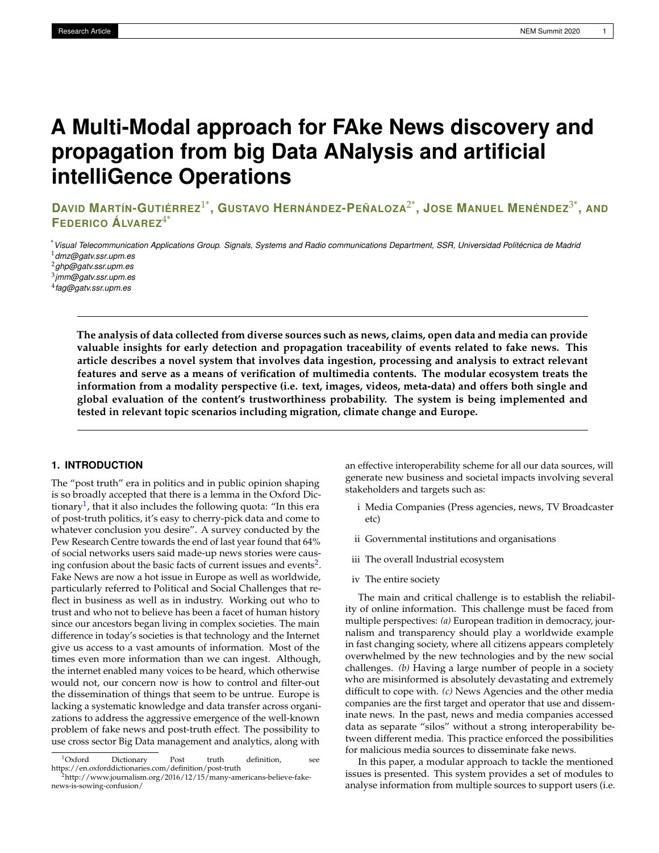# **A Multi-Modal approach for FAke News discovery and propagation from big Data ANalysis and artificial intelliGence Operations**

DAVID MARTÍN-GUTIÉRREZ $^{1*}$ , GUSTAVO HERNÁNDEZ-PEÑALOZA $^{2*}$ , JOSE MANUEL MENÉNDEZ $^{3*}$ , AND **FEDERICO ÁLVAREZ**4\*

\**Visual Telecommunication Applications Group. Signals, Systems and Radio communications Department, SSR, Universidad Politécnica de Madrid* <sup>1</sup>*dmz@gatv.ssr.upm.es*

<sup>2</sup>*ghp@gatv.ssr.upm.es*

3 *jmm@gatv.ssr.upm.es*

4 *fag@gatv.ssr.upm.es*

**The analysis of data collected from diverse sources such as news, claims, open data and media can provide valuable insights for early detection and propagation traceability of events related to fake news. This article describes a novel system that involves data ingestion, processing and analysis to extract relevant features and serve as a means of verification of multimedia contents. The modular ecosystem treats the information from a modality perspective (i.e. text, images, videos, meta-data) and offers both single and global evaluation of the content's trustworthiness probability. The system is being implemented and tested in relevant topic scenarios including migration, climate change and Europe.**

## **1. INTRODUCTION**

The "post truth" era in politics and in public opinion shaping is so broadly accepted that there is a lemma in the Oxford Dic-tionary<sup>[1](#page-0-0)</sup>, that it also includes the following quota: "In this era of post-truth politics, it's easy to cherry-pick data and come to whatever conclusion you desire". A survey conducted by the Pew Research Centre towards the end of last year found that 64% of social networks users said made-up news stories were caus-ing confusion about the basic facts of current issues and events<sup>[2](#page-0-1)</sup>. Fake News are now a hot issue in Europe as well as worldwide, particularly referred to Political and Social Challenges that reflect in business as well as in industry. Working out who to trust and who not to believe has been a facet of human history since our ancestors began living in complex societies. The main difference in today's societies is that technology and the Internet give us access to a vast amounts of information. Most of the times even more information than we can ingest. Although, the internet enabled many voices to be heard, which otherwise would not, our concern now is how to control and filter-out the dissemination of things that seem to be untrue. Europe is lacking a systematic knowledge and data transfer across organizations to address the aggressive emergence of the well-known problem of fake news and post-truth effect. The possibility to use cross sector Big Data management and analytics, along with

an effective interoperability scheme for all our data sources, will generate new business and societal impacts involving several stakeholders and targets such as:

- i Media Companies (Press agencies, news, TV Broadcaster etc)
- ii Governmental institutions and organisations
- iii The overall Industrial ecosystem
- iv The entire society

The main and critical challenge is to establish the reliability of online information. This challenge must be faced from multiple perspectives: *(a)* European tradition in democracy, journalism and transparency should play a worldwide example in fast changing society, where all citizens appears completely overwhelmed by the new technologies and by the new social challenges. *(b)* Having a large number of people in a society who are misinformed is absolutely devastating and extremely difficult to cope with. *(c)* News Agencies and the other media companies are the first target and operator that use and disseminate news. In the past, news and media companies accessed data as separate "silos" without a strong interoperability between different media. This practice enforced the possibilities for malicious media sources to disseminate fake news.

In this paper, a modular approach to tackle the mentioned issues is presented. This system provides a set of modules to analyse information from multiple sources to support users (i.e.

<span id="page-0-0"></span><sup>1</sup>Oxford Dictionary Post truth definition, see https://en.oxforddictionaries.com/definition/post-truth <sup>2</sup>http://www.journalism.org/2016/12/15/many-americans-believe-fake-

<span id="page-0-1"></span>news-is-sowing-confusion/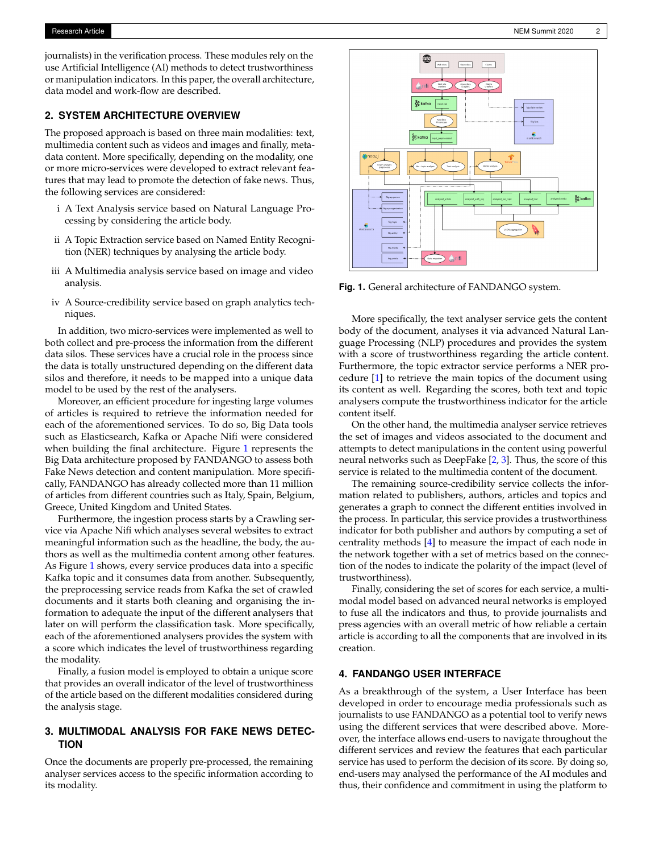journalists) in the verification process. These modules rely on the use Artificial Intelligence (AI) methods to detect trustworthiness or manipulation indicators. In this paper, the overall architecture, data model and work-flow are described.

## **2. SYSTEM ARCHITECTURE OVERVIEW**

The proposed approach is based on three main modalities: text, multimedia content such as videos and images and finally, metadata content. More specifically, depending on the modality, one or more micro-services were developed to extract relevant features that may lead to promote the detection of fake news. Thus, the following services are considered:

- i A Text Analysis service based on Natural Language Processing by considering the article body.
- ii A Topic Extraction service based on Named Entity Recognition (NER) techniques by analysing the article body.
- iii A Multimedia analysis service based on image and video analysis.
- iv A Source-credibility service based on graph analytics techniques.

In addition, two micro-services were implemented as well to both collect and pre-process the information from the different data silos. These services have a crucial role in the process since the data is totally unstructured depending on the different data silos and therefore, it needs to be mapped into a unique data model to be used by the rest of the analysers.

Moreover, an efficient procedure for ingesting large volumes of articles is required to retrieve the information needed for each of the aforementioned services. To do so, Big Data tools such as Elasticsearch, Kafka or Apache Nifi were considered when building the final architecture. Figure [1](#page-1-0) represents the Big Data architecture proposed by FANDANGO to assess both Fake News detection and content manipulation. More specifically, FANDANGO has already collected more than 11 million of articles from different countries such as Italy, Spain, Belgium, Greece, United Kingdom and United States.

Furthermore, the ingestion process starts by a Crawling service via Apache Nifi which analyses several websites to extract meaningful information such as the headline, the body, the authors as well as the multimedia content among other features. As Figure [1](#page-1-0) shows, every service produces data into a specific Kafka topic and it consumes data from another. Subsequently, the preprocessing service reads from Kafka the set of crawled documents and it starts both cleaning and organising the information to adequate the input of the different analysers that later on will perform the classification task. More specifically, each of the aforementioned analysers provides the system with a score which indicates the level of trustworthiness regarding the modality.

Finally, a fusion model is employed to obtain a unique score that provides an overall indicator of the level of trustworthiness of the article based on the different modalities considered during the analysis stage.

## **3. MULTIMODAL ANALYSIS FOR FAKE NEWS DETEC-TION**

Once the documents are properly pre-processed, the remaining analyser services access to the specific information according to its modality.

<span id="page-1-0"></span>

**Fig. 1.** General architecture of FANDANGO system.

More specifically, the text analyser service gets the content body of the document, analyses it via advanced Natural Language Processing (NLP) procedures and provides the system with a score of trustworthiness regarding the article content. Furthermore, the topic extractor service performs a NER procedure [\[1\]](#page-2-0) to retrieve the main topics of the document using its content as well. Regarding the scores, both text and topic analysers compute the trustworthiness indicator for the article content itself.

On the other hand, the multimedia analyser service retrieves the set of images and videos associated to the document and attempts to detect manipulations in the content using powerful neural networks such as DeepFake [\[2,](#page-2-1) [3\]](#page-2-2). Thus, the score of this service is related to the multimedia content of the document.

The remaining source-credibility service collects the information related to publishers, authors, articles and topics and generates a graph to connect the different entities involved in the process. In particular, this service provides a trustworthiness indicator for both publisher and authors by computing a set of centrality methods [\[4\]](#page-2-3) to measure the impact of each node in the network together with a set of metrics based on the connection of the nodes to indicate the polarity of the impact (level of trustworthiness).

Finally, considering the set of scores for each service, a multimodal model based on advanced neural networks is employed to fuse all the indicators and thus, to provide journalists and press agencies with an overall metric of how reliable a certain article is according to all the components that are involved in its creation.

## **4. FANDANGO USER INTERFACE**

As a breakthrough of the system, a User Interface has been developed in order to encourage media professionals such as journalists to use FANDANGO as a potential tool to verify news using the different services that were described above. Moreover, the interface allows end-users to navigate throughout the different services and review the features that each particular service has used to perform the decision of its score. By doing so, end-users may analysed the performance of the AI modules and thus, their confidence and commitment in using the platform to